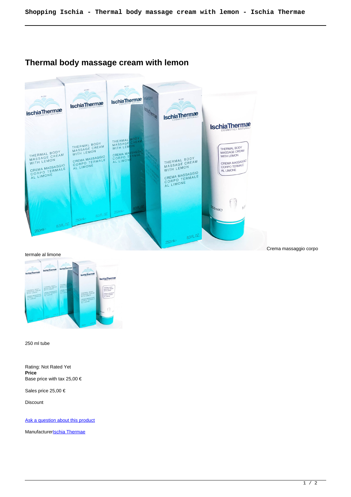## **Thermal body massage cream with lemon**



## termale al limone



250 ml tube

Rating: Not Rated Yet **Price**  Base price with tax 25,00 €

Sales price 25,00 €

Discount

[Ask a question about this product](https://shop.ischia.it/index.php?option=com_virtuemart&view=productdetails&task=askquestion&virtuemart_product_id=98&virtuemart_category_id=5&tmpl=component)

Manufacturer**[Ischia Thermae](https://shop.ischia.it/index.php?option=com_virtuemart&view=manufacturer&virtuemart_manufacturer_id=4&tmpl=component)** 

Crema massaggio corpo